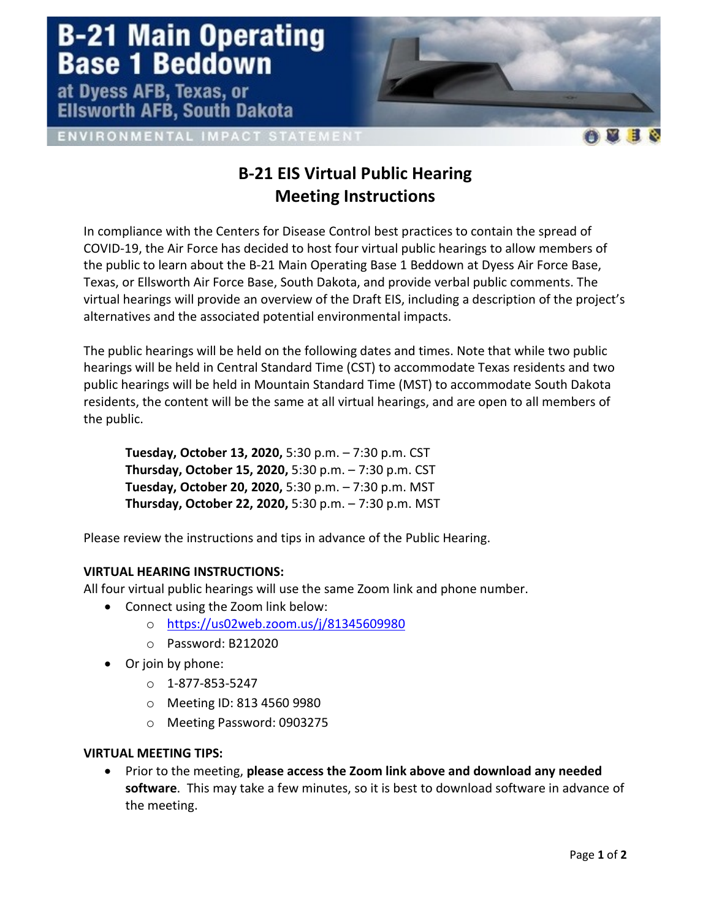## **B-21 Main Operating<br>Base 1 Beddown**

at Dyess AFB, Texas, or **Ellsworth AFB, South Dakota** 

ENVIRONMENTAL IMPACT STATEMENT

## **B-21 EIS Virtual Public Hearing Meeting Instructions**

In compliance with the Centers for Disease Control best practices to contain the spread of COVID-19, the Air Force has decided to host four virtual public hearings to allow members of the public to learn about the B-21 Main Operating Base 1 Beddown at Dyess Air Force Base, Texas, or Ellsworth Air Force Base, South Dakota, and provide verbal public comments. The virtual hearings will provide an overview of the Draft EIS, including a description of the project's alternatives and the associated potential environmental impacts.

The public hearings will be held on the following dates and times. Note that while two public hearings will be held in Central Standard Time (CST) to accommodate Texas residents and two public hearings will be held in Mountain Standard Time (MST) to accommodate South Dakota residents, the content will be the same at all virtual hearings, and are open to all members of the public.

**Tuesday, October 13, 2020,** 5:30 p.m. – 7:30 p.m. CST **Thursday, October 15, 2020,** 5:30 p.m. – 7:30 p.m. CST **Tuesday, October 20, 2020,** 5:30 p.m. – 7:30 p.m. MST **Thursday, October 22, 2020,** 5:30 p.m. – 7:30 p.m. MST

Please review the instructions and tips in advance of the Public Hearing.

## **VIRTUAL HEARING INSTRUCTIONS:**

All four virtual public hearings will use the same Zoom link and phone number.

- Connect using the Zoom link below:
	- o <https://us02web.zoom.us/j/81345609980>
	- o Password: B212020
	- Or join by phone:
		- $O$  1-877-853-5247
		- o Meeting ID: 813 4560 9980
		- o Meeting Password: 0903275

## **VIRTUAL MEETING TIPS:**

• Prior to the meeting, **please access the Zoom link above and download any needed software**. This may take a few minutes, so it is best to download software in advance of the meeting.